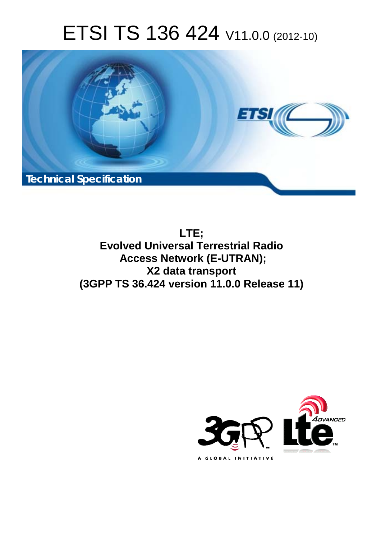# ETSI TS 136 424 V11.0.0 (2012-10)



**LTE; Evolved Universal Terrestrial Radio Access Network (E-UTRAN); X2 data transport (3GPP TS 36.424 version 11.0.0 Release 11)** 

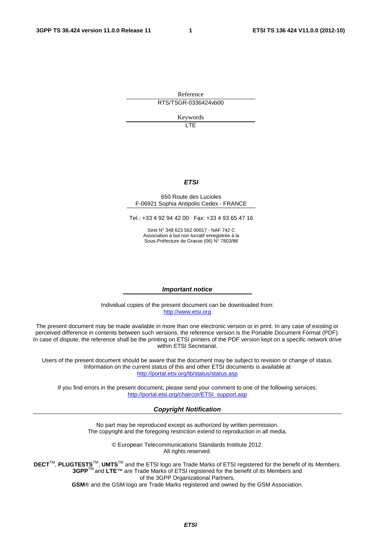Reference RTS/TSGR-0336424vb00

Keywords

LTE

#### *ETSI*

#### 650 Route des Lucioles F-06921 Sophia Antipolis Cedex - FRANCE

Tel.: +33 4 92 94 42 00 Fax: +33 4 93 65 47 16

Siret N° 348 623 562 00017 - NAF 742 C Association à but non lucratif enregistrée à la Sous-Préfecture de Grasse (06) N° 7803/88

#### *Important notice*

Individual copies of the present document can be downloaded from: [http://www.etsi.org](http://www.etsi.org/)

The present document may be made available in more than one electronic version or in print. In any case of existing or perceived difference in contents between such versions, the reference version is the Portable Document Format (PDF). In case of dispute, the reference shall be the printing on ETSI printers of the PDF version kept on a specific network drive within ETSI Secretariat.

Users of the present document should be aware that the document may be subject to revision or change of status. Information on the current status of this and other ETSI documents is available at <http://portal.etsi.org/tb/status/status.asp>

If you find errors in the present document, please send your comment to one of the following services: [http://portal.etsi.org/chaircor/ETSI\\_support.asp](http://portal.etsi.org/chaircor/ETSI_support.asp)

#### *Copyright Notification*

No part may be reproduced except as authorized by written permission. The copyright and the foregoing restriction extend to reproduction in all media.

> © European Telecommunications Standards Institute 2012. All rights reserved.

DECT<sup>™</sup>, PLUGTESTS<sup>™</sup>, UMTS<sup>™</sup> and the ETSI logo are Trade Marks of ETSI registered for the benefit of its Members. **3GPP**TM and **LTE**™ are Trade Marks of ETSI registered for the benefit of its Members and of the 3GPP Organizational Partners.

**GSM**® and the GSM logo are Trade Marks registered and owned by the GSM Association.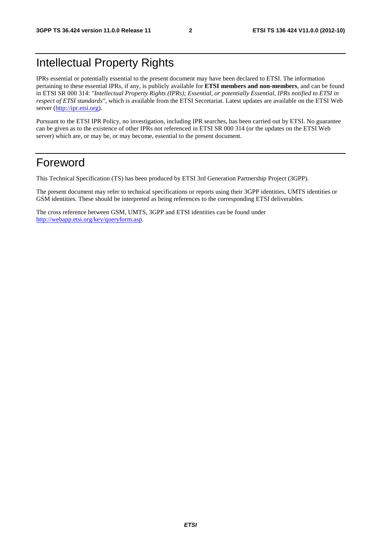## Intellectual Property Rights

IPRs essential or potentially essential to the present document may have been declared to ETSI. The information pertaining to these essential IPRs, if any, is publicly available for **ETSI members and non-members**, and can be found in ETSI SR 000 314: *"Intellectual Property Rights (IPRs); Essential, or potentially Essential, IPRs notified to ETSI in respect of ETSI standards"*, which is available from the ETSI Secretariat. Latest updates are available on the ETSI Web server [\(http://ipr.etsi.org](http://webapp.etsi.org/IPR/home.asp)).

Pursuant to the ETSI IPR Policy, no investigation, including IPR searches, has been carried out by ETSI. No guarantee can be given as to the existence of other IPRs not referenced in ETSI SR 000 314 (or the updates on the ETSI Web server) which are, or may be, or may become, essential to the present document.

### Foreword

This Technical Specification (TS) has been produced by ETSI 3rd Generation Partnership Project (3GPP).

The present document may refer to technical specifications or reports using their 3GPP identities, UMTS identities or GSM identities. These should be interpreted as being references to the corresponding ETSI deliverables.

The cross reference between GSM, UMTS, 3GPP and ETSI identities can be found under [http://webapp.etsi.org/key/queryform.asp.](http://webapp.etsi.org/key/queryform.asp)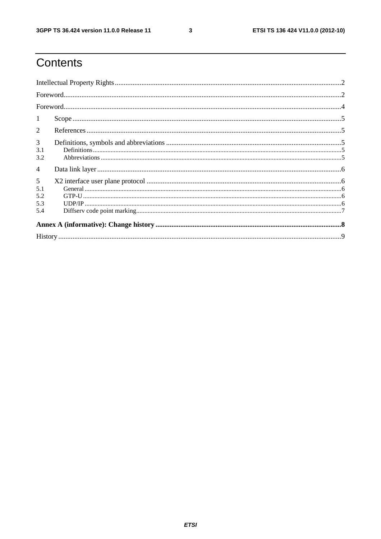$\mathbf{3}$ 

# Contents

| 1              |  |  |  |  |  |
|----------------|--|--|--|--|--|
| $\overline{2}$ |  |  |  |  |  |
| $\mathfrak{Z}$ |  |  |  |  |  |
| 3.1<br>3.2     |  |  |  |  |  |
| $\overline{4}$ |  |  |  |  |  |
| 5              |  |  |  |  |  |
| 5.1            |  |  |  |  |  |
| 5.2            |  |  |  |  |  |
| 5.3            |  |  |  |  |  |
| 5.4            |  |  |  |  |  |
|                |  |  |  |  |  |
|                |  |  |  |  |  |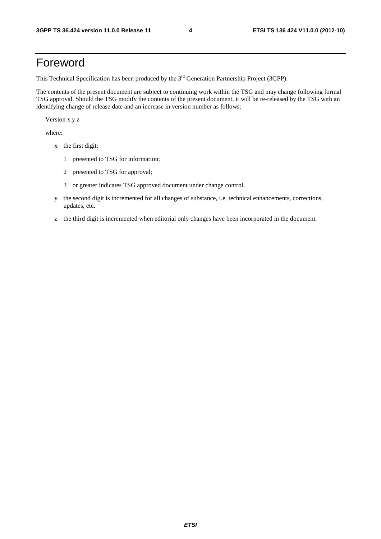### Foreword

This Technical Specification has been produced by the 3<sup>rd</sup> Generation Partnership Project (3GPP).

The contents of the present document are subject to continuing work within the TSG and may change following formal TSG approval. Should the TSG modify the contents of the present document, it will be re-released by the TSG with an identifying change of release date and an increase in version number as follows:

Version x.y.z

where:

- x the first digit:
	- 1 presented to TSG for information;
	- 2 presented to TSG for approval;
	- 3 or greater indicates TSG approved document under change control.
- y the second digit is incremented for all changes of substance, i.e. technical enhancements, corrections, updates, etc.
- z the third digit is incremented when editorial only changes have been incorporated in the document.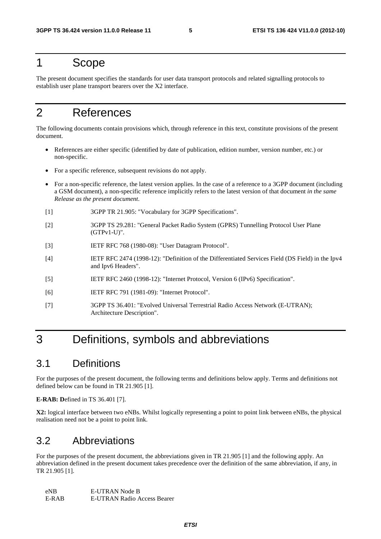#### 1 Scope

The present document specifies the standards for user data transport protocols and related signalling protocols to establish user plane transport bearers over the X2 interface.

# 2 References

The following documents contain provisions which, through reference in this text, constitute provisions of the present document.

- References are either specific (identified by date of publication, edition number, version number, etc.) or non-specific.
- For a specific reference, subsequent revisions do not apply.
- For a non-specific reference, the latest version applies. In the case of a reference to a 3GPP document (including a GSM document), a non-specific reference implicitly refers to the latest version of that document *in the same Release as the present document*.
- [1] 3GPP TR 21.905: "Vocabulary for 3GPP Specifications".
- [2] 3GPP TS 29.281: "General Packet Radio System (GPRS) Tunnelling Protocol User Plane (GTPv1-U)".
- [3] IETF RFC 768 (1980-08): "User Datagram Protocol".
- [4] IETF RFC 2474 (1998-12): "Definition of the Differentiated Services Field (DS Field) in the Ipv4 and Ipv6 Headers".
- [5] IETF RFC 2460 (1998-12): "Internet Protocol, Version 6 (IPv6) Specification".
- [6] IETF RFC 791 (1981-09): "Internet Protocol".
- [7] 3GPP TS 36.401: "Evolved Universal Terrestrial Radio Access Network (E-UTRAN); Architecture Description".

### 3 Definitions, symbols and abbreviations

#### 3.1 Definitions

For the purposes of the present document, the following terms and definitions below apply. Terms and definitions not defined below can be found in TR 21.905 [1].

**E-RAB: D**efined in TS 36.401 [7].

**X2:** logical interface between two eNBs. Whilst logically representing a point to point link between eNBs, the physical realisation need not be a point to point link.

#### 3.2 Abbreviations

For the purposes of the present document, the abbreviations given in TR 21.905 [1] and the following apply. An abbreviation defined in the present document takes precedence over the definition of the same abbreviation, if any, in TR 21.905 [1].

| eNB.  | E-UTRAN Node B                     |
|-------|------------------------------------|
| E-RAB | <b>E-UTRAN Radio Access Bearer</b> |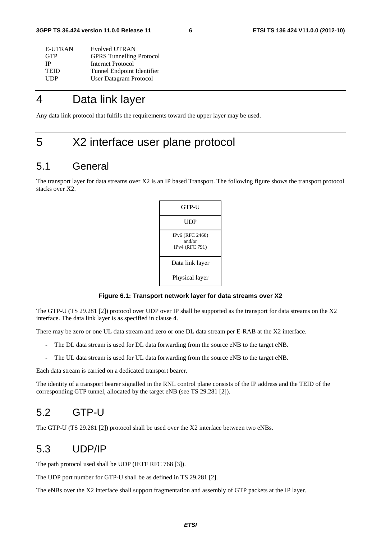| E-UTRAN     | Evolved UTRAN                   |
|-------------|---------------------------------|
| <b>GTP</b>  | <b>GPRS</b> Tunnelling Protocol |
| ΙP          | Internet Protocol               |
| <b>TEID</b> | Tunnel Endpoint Identifier      |
| <b>UDP</b>  | User Datagram Protocol          |

### 4 Data link layer

Any data link protocol that fulfils the requirements toward the upper layer may be used.

### 5 X2 interface user plane protocol

#### 5.1 General

The transport layer for data streams over X2 is an IP based Transport. The following figure shows the transport protocol stacks over X2.

| GTP-U                                       |
|---------------------------------------------|
| UDP                                         |
| IPv6 (RFC 2460)<br>and/or<br>IPv4 (RFC 791) |
| Data link layer                             |
| Physical layer                              |

#### **Figure 6.1: Transport network layer for data streams over X2**

The GTP-U (TS 29.281 [2]) protocol over UDP over IP shall be supported as the transport for data streams on the X2 interface. The data link layer is as specified in clause 4.

There may be zero or one UL data stream and zero or one DL data stream per E-RAB at the X2 interface.

- The DL data stream is used for DL data forwarding from the source eNB to the target eNB.
- The UL data stream is used for UL data forwarding from the source eNB to the target eNB.

Each data stream is carried on a dedicated transport bearer.

The identity of a transport bearer signalled in the RNL control plane consists of the IP address and the TEID of the corresponding GTP tunnel, allocated by the target eNB (see TS 29.281 [2]).

#### 5.2 GTP-U

The GTP-U (TS 29.281 [2]) protocol shall be used over the X2 interface between two eNBs.

#### 5.3 UDP/IP

The path protocol used shall be UDP (IETF RFC 768 [3]).

The UDP port number for GTP-U shall be as defined in TS 29.281 [2].

The eNBs over the X2 interface shall support fragmentation and assembly of GTP packets at the IP layer.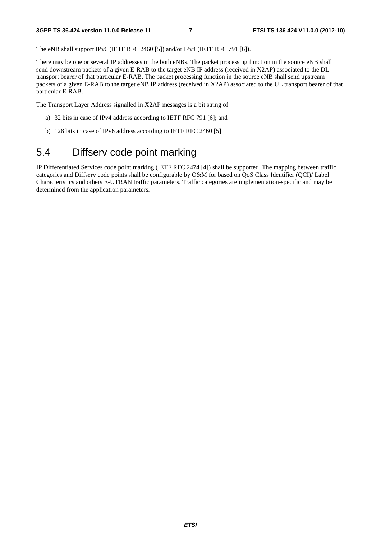The eNB shall support IPv6 (IETF RFC 2460 [5]) and/or IPv4 (IETF RFC 791 [6]).

There may be one or several IP addresses in the both eNBs. The packet processing function in the source eNB shall send downstream packets of a given E-RAB to the target eNB IP address (received in X2AP) associated to the DL transport bearer of that particular E-RAB. The packet processing function in the source eNB shall send upstream packets of a given E-RAB to the target eNB IP address (received in X2AP) associated to the UL transport bearer of that particular E-RAB.

The Transport Layer Address signalled in X2AP messages is a bit string of

- a) 32 bits in case of IPv4 address according to IETF RFC 791 [6]; and
- b) 128 bits in case of IPv6 address according to IETF RFC 2460 [5].

### 5.4 Diffserv code point marking

IP Differentiated Services code point marking (IETF RFC 2474 [4]) shall be supported. The mapping between traffic categories and Diffserv code points shall be configurable by O&M for based on QoS Class Identifier (QCI)/ Label Characteristics and others E-UTRAN traffic parameters. Traffic categories are implementation-specific and may be determined from the application parameters.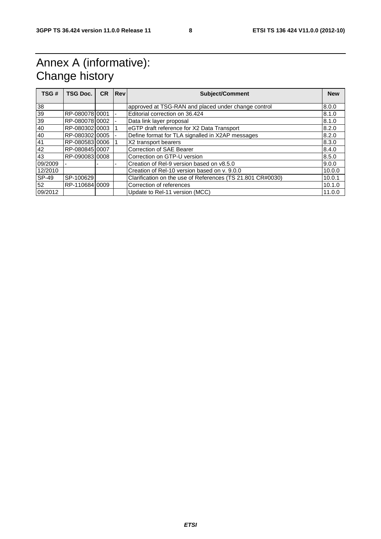# Annex A (informative): Change history

| TSG#    | <b>TSG Doc.</b> | <b>CR</b> | <b>Rev</b> | <b>Subject/Comment</b>                                     | <b>New</b> |
|---------|-----------------|-----------|------------|------------------------------------------------------------|------------|
|         |                 |           |            |                                                            |            |
| 38      |                 |           |            | approved at TSG-RAN and placed under change control        | 8.0.0      |
| 39      | RP-08007810001  |           | ٠          | Editorial correction on 36.424                             | 8.1.0      |
| 39      | RP-08007810002  |           |            | Data link layer proposal                                   | 8.1.0      |
| 40      | RP-08030210003  |           |            | eGTP draft reference for X2 Data Transport                 | 8.2.0      |
| 40      | RP-08030210005  |           |            | Define format for TLA signalled in X2AP messages           | 8.2.0      |
| 41      | RP-08058310006  |           |            | X2 transport bearers                                       | 8.3.0      |
| 42      | RP-08084510007  |           |            | <b>Correction of SAE Bearer</b>                            | 8.4.0      |
| 43      | RP-09008310008  |           |            | Correction on GTP-U version                                | 8.5.0      |
| 09/2009 |                 |           |            | Creation of Rel-9 version based on y8.5.0                  | 9.0.0      |
| 12/2010 |                 |           |            | Creation of Rel-10 version based on y. 9.0.0               | 10.0.0     |
| SP-49   | SP-100629       |           |            | Clarification on the use of References (TS 21.801 CR#0030) | 10.0.1     |
| 52      | RP-110684 0009  |           |            | Correction of references                                   | 10.1.0     |
| 09/2012 |                 |           |            | Update to Rel-11 version (MCC)                             | 11.0.0     |